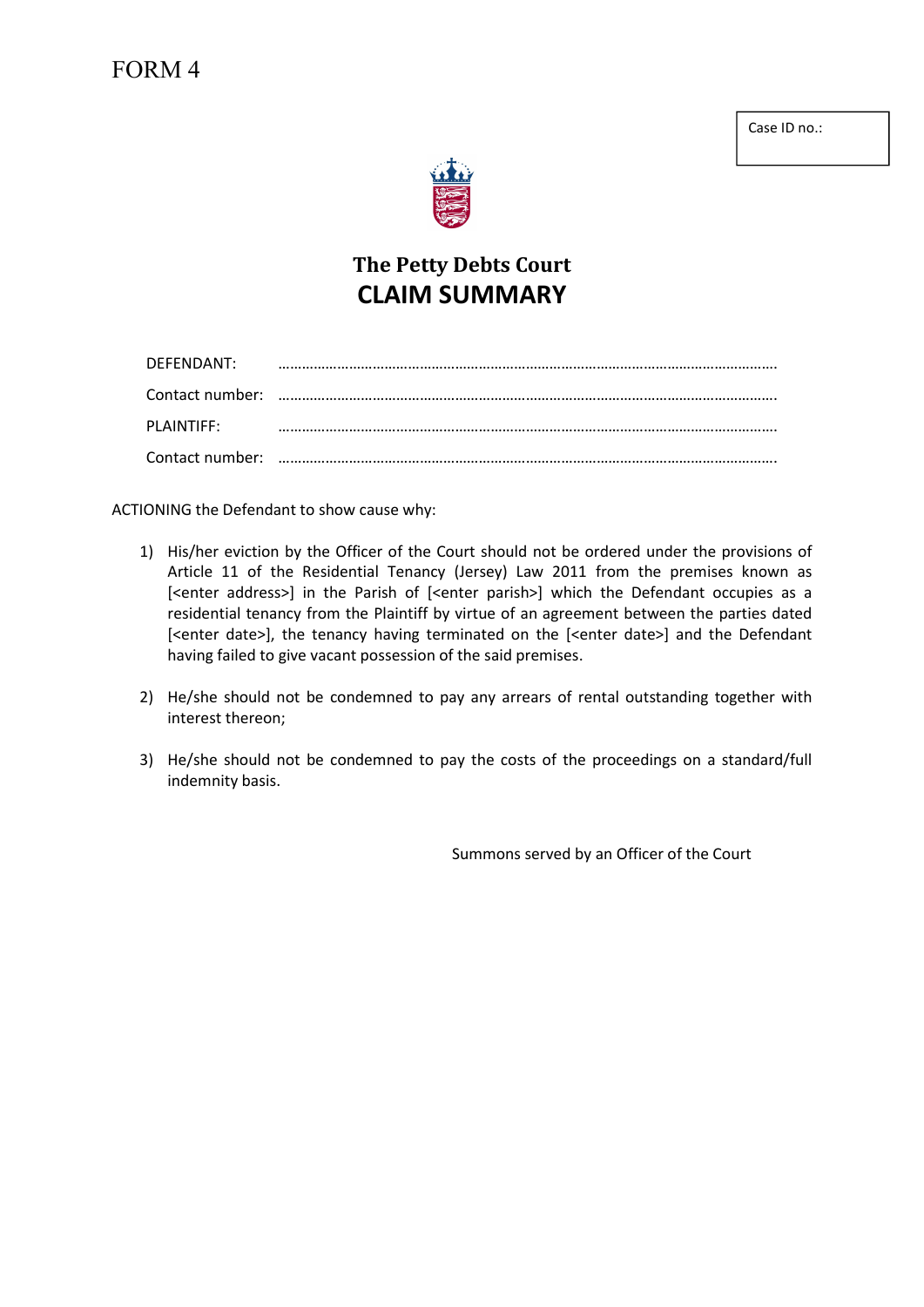Case ID no.:



## The Petty Debts Court CLAIM SUMMARY

| DEFENDANT: |  |
|------------|--|
|            |  |
| PLAINTIFF: |  |
|            |  |

ACTIONING the Defendant to show cause why:

- 1) His/her eviction by the Officer of the Court should not be ordered under the provisions of Article 11 of the Residential Tenancy (Jersey) Law 2011 from the premises known as [<enter address>] in the Parish of [<enter parish>] which the Defendant occupies as a residential tenancy from the Plaintiff by virtue of an agreement between the parties dated [<enter date>], the tenancy having terminated on the [<enter date>] and the Defendant having failed to give vacant possession of the said premises.
- 2) He/she should not be condemned to pay any arrears of rental outstanding together with interest thereon;
- 3) He/she should not be condemned to pay the costs of the proceedings on a standard/full indemnity basis.

Summons served by an Officer of the Court